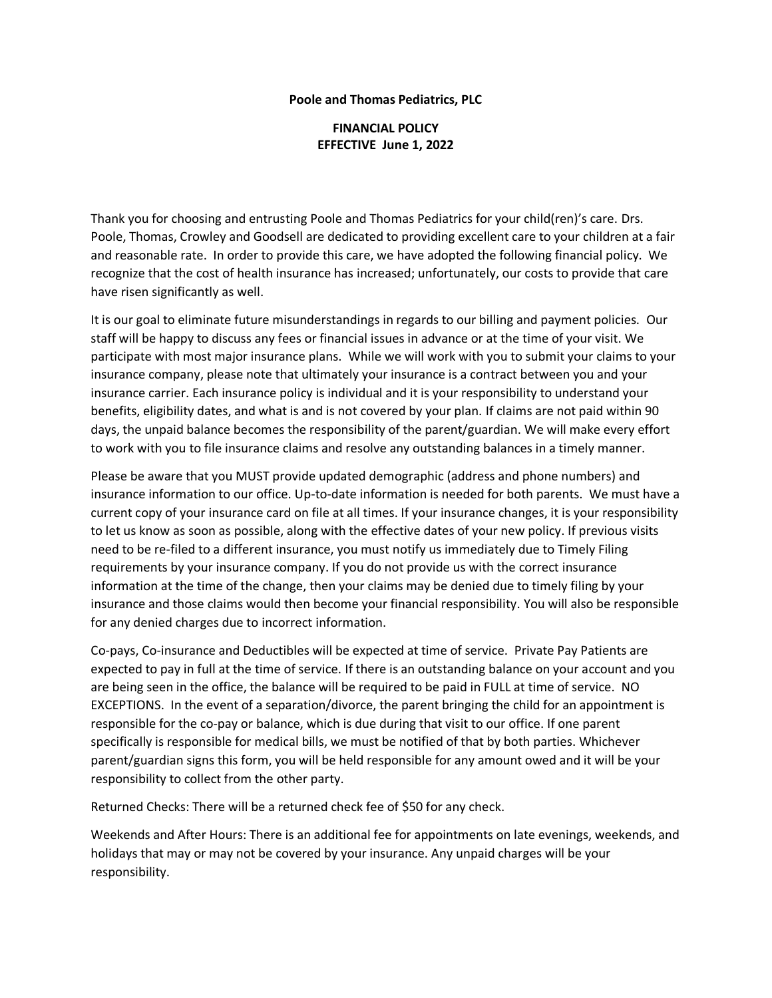## **Poole and Thomas Pediatrics, PLC**

## **FINANCIAL POLICY EFFECTIVE June 1, 2022**

Thank you for choosing and entrusting Poole and Thomas Pediatrics for your child(ren)'s care. Drs. Poole, Thomas, Crowley and Goodsell are dedicated to providing excellent care to your children at a fair and reasonable rate. In order to provide this care, we have adopted the following financial policy. We recognize that the cost of health insurance has increased; unfortunately, our costs to provide that care have risen significantly as well.

It is our goal to eliminate future misunderstandings in regards to our billing and payment policies. Our staff will be happy to discuss any fees or financial issues in advance or at the time of your visit. We participate with most major insurance plans. While we will work with you to submit your claims to your insurance company, please note that ultimately your insurance is a contract between you and your insurance carrier. Each insurance policy is individual and it is your responsibility to understand your benefits, eligibility dates, and what is and is not covered by your plan. If claims are not paid within 90 days, the unpaid balance becomes the responsibility of the parent/guardian. We will make every effort to work with you to file insurance claims and resolve any outstanding balances in a timely manner.

Please be aware that you MUST provide updated demographic (address and phone numbers) and insurance information to our office. Up-to-date information is needed for both parents. We must have a current copy of your insurance card on file at all times. If your insurance changes, it is your responsibility to let us know as soon as possible, along with the effective dates of your new policy. If previous visits need to be re-filed to a different insurance, you must notify us immediately due to Timely Filing requirements by your insurance company. If you do not provide us with the correct insurance information at the time of the change, then your claims may be denied due to timely filing by your insurance and those claims would then become your financial responsibility. You will also be responsible for any denied charges due to incorrect information.

Co-pays, Co-insurance and Deductibles will be expected at time of service. Private Pay Patients are expected to pay in full at the time of service. If there is an outstanding balance on your account and you are being seen in the office, the balance will be required to be paid in FULL at time of service. NO EXCEPTIONS. In the event of a separation/divorce, the parent bringing the child for an appointment is responsible for the co-pay or balance, which is due during that visit to our office. If one parent specifically is responsible for medical bills, we must be notified of that by both parties. Whichever parent/guardian signs this form, you will be held responsible for any amount owed and it will be your responsibility to collect from the other party.

Returned Checks: There will be a returned check fee of \$50 for any check.

Weekends and After Hours: There is an additional fee for appointments on late evenings, weekends, and holidays that may or may not be covered by your insurance. Any unpaid charges will be your responsibility.